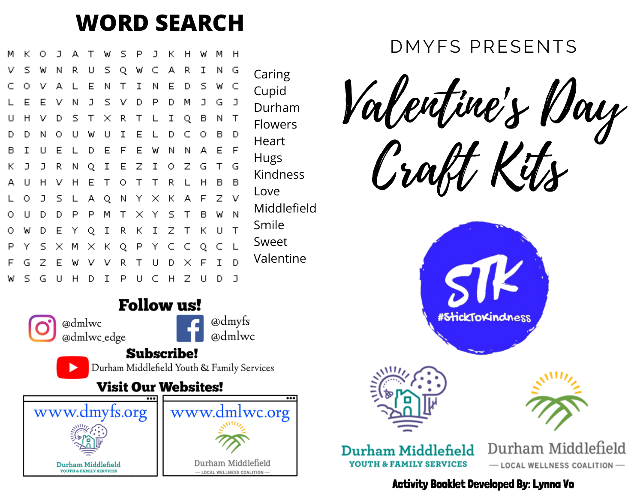### **WORD SEARCH**

| м | к | о | J | A. | T. |     | w s p |    | J   | К. | н        | W   | м | н      |   |
|---|---|---|---|----|----|-----|-------|----|-----|----|----------|-----|---|--------|---|
| ν | s | W | Ν | R. | U  |     | s q   | W  | C   | А  | R        | Ι   | Ν | G      | C |
| c | О | v | А | L  | Е  | Ν   | Τ     | I  | Ν   | Е  | D        | s   | W | C      | C |
| L | Е | Е | v | Ν  | J  | s   | - V   | D  | P   | D  | М        | J   | G | J      | С |
| U | Н | v | D | s. | Т  | ×   | R     | Т  | L   | Ι  | Q        | в   | Ν | Т      | F |
| D | D | Ν | о | U  | W  | U   | Ι     | Ε  | L   | D  | c        | о   | в | D      | ⊦ |
| в | Ι | U | Е | L  | D  | Е   | F     | Е  | W   | Ν  | Ν        | А   | Е | F      | ۲ |
| к | J | J | R | Ν  | Q  | I   | E Z   |    | I   |    | o z      | - G | Т | G      |   |
| А | U | н | ν | н  | Е  | Т   | 0     | Т  | т   | R  | L        | н   | в | в      | Κ |
| L | ο | J | s | L  | A. | Q.  | Ν     | Y. | ×   | к  | - A      | F   | Ζ | V      | L |
| о | U | D | D | P  | P  | м   | т     | ×  | - Y | S. | Т        | в   | W | Ν      | N |
| о | W | D | Е | Υ  | Q  | I   | R.    | к  | I   | Z. | Τ        | К   | υ | $\top$ | S |
| P | Υ | s | × | М  | ×  | К   | Q.    | P  | Υ   |    | cс       | Q   | C | └      | S |
| F | G | z | Е | W  |    | v v | R.    | Τ  | U   | D  | $\times$ | - F | Ι | D      | ٧ |
| w | s | G | U | н  | D  | I   | P     | U  | c   | н  | z        | U   | D | J      |   |

@dmlwc

@dmlwc\_edge

www.dmyfs.org

**Durham Middlefield** 

**YOUTH & FAMILY SERVICES** 

**Follow us!** 

**Subscribe!** 

**Visit Our Websites!** 

Durham Middlefield Youth & Family Services

@dmyfs

a)dmlwc

www.dmlwc.org

Durham Middlefield

- LOCAL WELLNESS COALITION



### DMYFS PRESENTS

Valentine's Day Craft Kits







**Durham Middlefield YOUTH & FAMILY SERVICES** 

Durham Middlefield  $-$  LOCAL WELLNESS COALITION  $-$ 

Activity Booklet Developed By: Lynna Vo